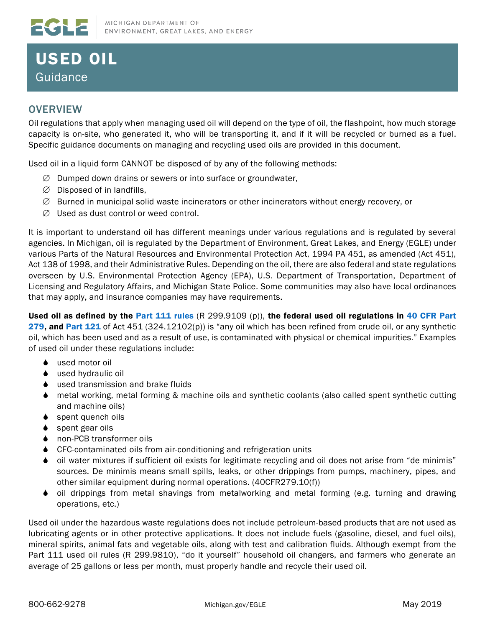## USED OIL Guidance

## **OVERVIEW**

**EGLE** 

Oil regulations that apply when managing used oil will depend on the type of oil, the flashpoint, how much storage capacity is on-site, who generated it, who will be transporting it, and if it will be recycled or burned as a fuel. Specific guidance documents on managing and recycling used oils are provided in this document.

Used oil in a liquid form CANNOT be disposed of by any of the following methods:

- ∅ Dumped down drains or sewers or into surface or groundwater,
- ∅ Disposed of in landfills,
- $\varnothing$  Burned in municipal solid waste incinerators or other incinerators without energy recovery, or
- ∅ Used as dust control or weed control.

It is important to understand oil has different meanings under various regulations and is regulated by several agencies. In Michigan, oil is regulated by the Department of Environment, Great Lakes, and Energy (EGLE) under various Parts of the Natural Resources and Environmental Protection Act, 1994 PA 451, as amended (Act 451), Act 138 of 1998, and their Administrative Rules. Depending on the oil, there are also federal and state regulations overseen by U.S. Environmental Protection Agency (EPA), U.S. Department of Transportation, Department of Licensing and Regulatory Affairs, and Michigan State Police. Some communities may also have local ordinances that may apply, and insurance companies may have requirements.

Used oil as defined by the [Part 111 rules](https://www.michigan.gov/documents/deq/deq-whm-hwp-Part111Rules_248146_7.pdf) (R 299.9109 (p)), the federal used oil regulations in 40 CFR Part [279,](https://www.govinfo.gov/content/pkg/CFR-2011-title40-vol27/pdf/CFR-2011-title40-vol27-part279.pdf) and [Part 121](http://www.legislature.mi.gov/(S(vu4oletttqhewivaprhcaoi0))/mileg.aspx?page=getObject&objectName=mcl-451-1994-II-3-121) of Act 451 (324.12102(p)) is "any oil which has been refined from crude oil, or any synthetic oil, which has been used and as a result of use, is contaminated with physical or chemical impurities." Examples of used oil under these regulations include:

- ◆ used motor oil
- ♦ used hydraulic oil
- ♦ used transmission and brake fluids
- metal working, metal forming & machine oils and synthetic coolants (also called spent synthetic cutting and machine oils)
- ◆ spent quench oils
- spent gear oils
- non-PCB transformer oils
- CFC-contaminated oils from air-conditioning and refrigeration units
- oil water mixtures if sufficient oil exists for legitimate recycling and oil does not arise from "de minimis" sources. De minimis means small spills, leaks, or other drippings from pumps, machinery, pipes, and other similar equipment during normal operations. (40CFR279.10(f))
- oil drippings from metal shavings from metalworking and metal forming (e.g. turning and drawing operations, etc.)

Used oil under the hazardous waste regulations does not include petroleum-based products that are not used as lubricating agents or in other protective applications. It does not include fuels (gasoline, diesel, and fuel oils), mineral spirits, animal fats and vegetable oils, along with test and calibration fluids. Although exempt from the Part 111 used oil rules (R 299.9810), "do it yourself" household oil changers, and farmers who generate an average of 25 gallons or less per month, must properly handle and recycle their used oil.